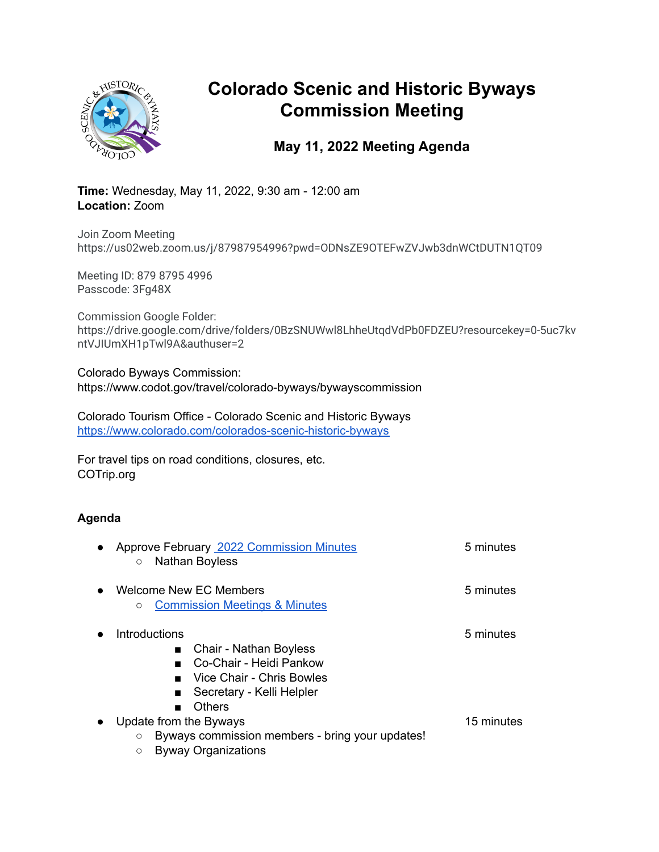

# **Colorado Scenic and Historic Byways Commission Meeting**

## **May 11, 2022 Meeting Agenda**

**Time:** Wednesday, May 11, 2022, 9:30 am - 12:00 am **Location:** Zoom

Join Zoom Meeting https://us02web.zoom.us/j/87987954996?pwd=ODNsZE9OTEFwZVJwb3dnWCtDUTN1QT09

Meeting ID: 879 8795 4996 Passcode: 3Fg48X

Commission Google Folder: https://drive.google.com/drive/folders/0BzSNUWwl8LhheUtqdVdPb0FDZEU?resourcekey=0-5uc7kv ntVJIUmXH1pTwl9A&authuser=2

Colorado Byways Commission: https://www.codot.gov/travel/colorado-byways/bywayscommission

Colorado Tourism Office - Colorado Scenic and Historic Byways <https://www.colorado.com/colorados-scenic-historic-byways>

For travel tips on road conditions, closures, etc. COTrip.org

### **Agenda**

| <b>Approve February 2022 Commission Minutes</b><br>Nathan Boyless<br>$\circ$                                                                                    | 5 minutes  |
|-----------------------------------------------------------------------------------------------------------------------------------------------------------------|------------|
| Welcome New EC Members<br><b>Commission Meetings &amp; Minutes</b><br>$\circ$                                                                                   | 5 minutes  |
| Introductions<br>Chair - Nathan Boyless<br>$\blacksquare$<br>Co-Chair - Heidi Pankow<br>Vice Chair - Chris Bowles<br>. .<br>Secretary - Kelli Helpler<br>Others | 5 minutes  |
| Update from the Byways<br>Byways commission members - bring your updates!<br>$\circ$<br><b>Byway Organizations</b><br>$\circ$                                   | 15 minutes |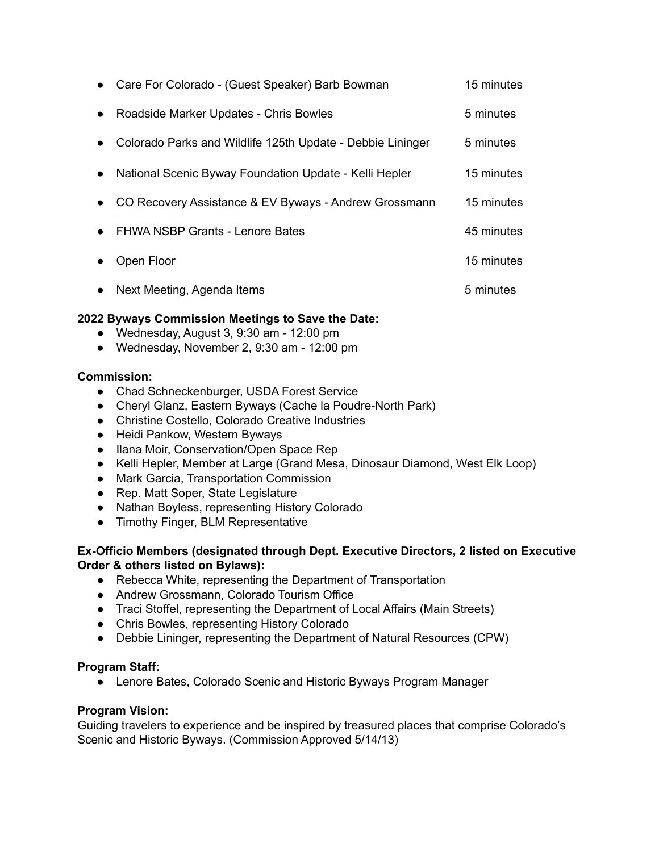|           | • Care For Colorado - (Guest Speaker) Barb Bowman          | 15 minutes |
|-----------|------------------------------------------------------------|------------|
| $\bullet$ | Roadside Marker Updates - Chris Bowles                     | 5 minutes  |
| $\bullet$ | Colorado Parks and Wildlife 125th Update - Debbie Lininger | 5 minutes  |
| $\bullet$ | National Scenic Byway Foundation Update - Kelli Hepler     | 15 minutes |
| $\bullet$ | CO Recovery Assistance & EV Byways - Andrew Grossmann      | 15 minutes |
| $\bullet$ | FHWA NSBP Grants - Lenore Bates                            | 45 minutes |
|           | Open Floor                                                 | 15 minutes |
| $\bullet$ | Next Meeting, Agenda Items                                 | 5 minutes  |

#### **2022 Byways Commission Meetings to Save the Date:**

- Wednesday, August 3, 9:30 am 12:00 pm
- Wednesday, November 2, 9:30 am 12:00 pm

#### **Commission:**

- Chad Schneckenburger, USDA Forest Service
- Cheryl Glanz, Eastern Byways (Cache la Poudre-North Park)
- Christine Costello, Colorado Creative Industries
- Heidi Pankow, Western Byways
- Ilana Moir, Conservation/Open Space Rep
- Kelli Hepler, Member at Large (Grand Mesa, Dinosaur Diamond, West Elk Loop)
- Mark Garcia, Transportation Commission
- Rep. Matt Soper, State Legislature
- Nathan Boyless, representing History Colorado
- Timothy Finger, BLM Representative

#### **Ex-Officio Members (designated through Dept. Executive Directors, 2 listed on Executive Order & others listed on Bylaws):**

- Rebecca White, representing the Department of Transportation
- Andrew Grossmann, Colorado Tourism Office
- Traci Stoffel, representing the Department of Local Affairs (Main Streets)
- Chris Bowles, representing History Colorado
- Debbie Lininger, representing the Department of Natural Resources (CPW)

#### **Program Staff:**

● Lenore Bates, Colorado Scenic and Historic Byways Program Manager

#### **Program Vision:**

Guiding travelers to experience and be inspired by treasured places that comprise Colorado's Scenic and Historic Byways. (Commission Approved 5/14/13)